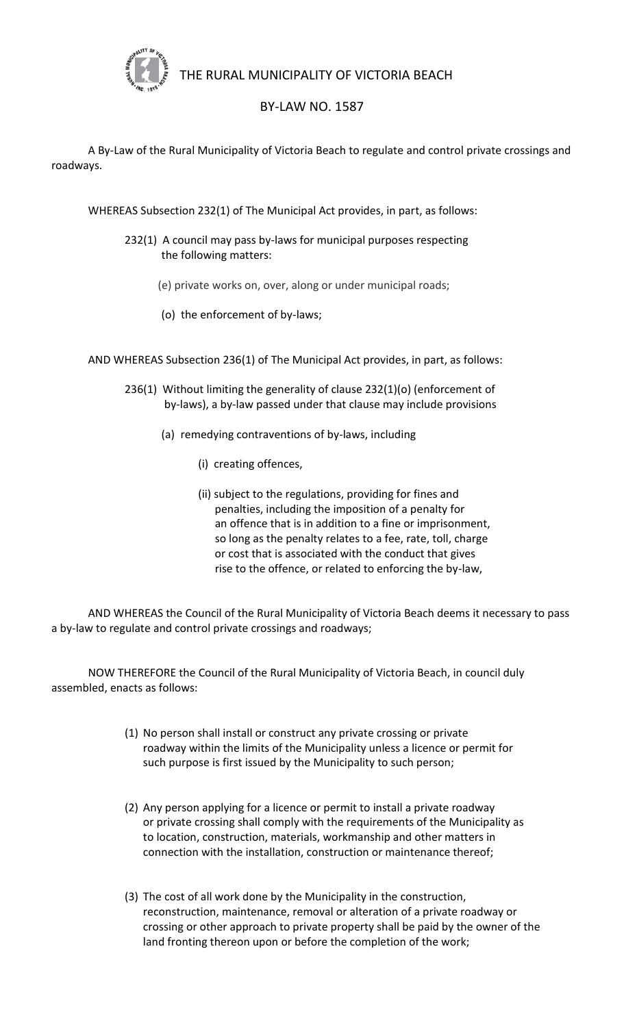

THE RURAL MUNICIPALITY OF VICTORIA BEACH

## BY-LAW NO. 1587

A By-Law of the Rural Municipality of Victoria Beach to regulate and control private crossings and roadways.

WHEREAS Subsection 232(1) of The Municipal Act provides, in part, as follows:

- 232(1) A council may pass by-laws for municipal purposes respecting the following matters:
	- (e) private works on, over, along or under municipal roads;
	- (o) the enforcement of by-laws;

AND WHEREAS Subsection 236(1) of The Municipal Act provides, in part, as follows:

- 236(1) Without limiting the generality of clause 232(1)(o) (enforcement of by-laws), a by-law passed under that clause may include provisions
	- (a) remedying contraventions of by-laws, including
		- (i) creating offences,
		- (ii) subject to the regulations, providing for fines and penalties, including the imposition of a penalty for an offence that is in addition to a fine or imprisonment, so long as the penalty relates to a fee, rate, toll, charge or cost that is associated with the conduct that gives rise to the offence, or related to enforcing the by-law,

AND WHEREAS the Council of the Rural Municipality of Victoria Beach deems it necessary to pass a by-law to regulate and control private crossings and roadways;

NOW THEREFORE the Council of the Rural Municipality of Victoria Beach, in council duly assembled, enacts as follows:

- (1) No person shall install or construct any private crossing or private roadway within the limits of the Municipality unless a licence or permit for such purpose is first issued by the Municipality to such person;
- (2) Any person applying for a licence or permit to install a private roadway or private crossing shall comply with the requirements of the Municipality as to location, construction, materials, workmanship and other matters in connection with the installation, construction or maintenance thereof;
- (3) The cost of all work done by the Municipality in the construction, reconstruction, maintenance, removal or alteration of a private roadway or crossing or other approach to private property shall be paid by the owner of the land fronting thereon upon or before the completion of the work;